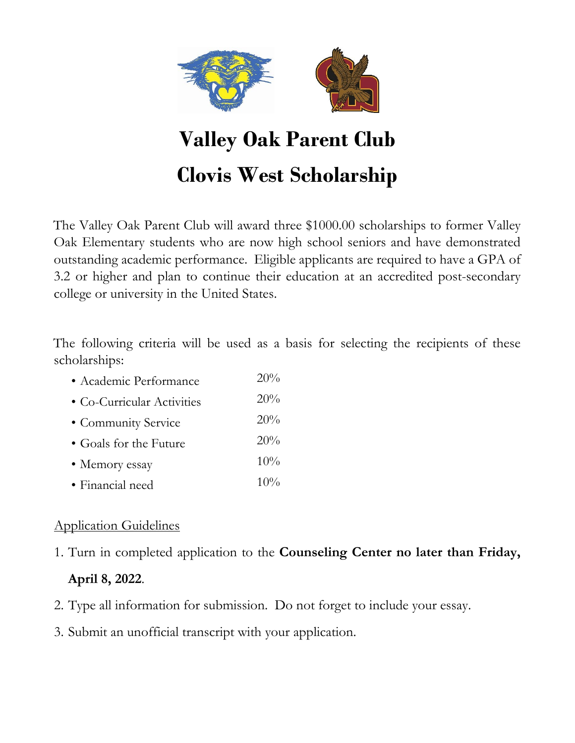

# **Valley Oak Parent Club Clovis West Scholarship**

The Valley Oak Parent Club will award three \$1000.00 scholarships to former Valley Oak Elementary students who are now high school seniors and have demonstrated outstanding academic performance. Eligible applicants are required to have a GPA of 3.2 or higher and plan to continue their education at an accredited post-secondary college or university in the United States.

The following criteria will be used as a basis for selecting the recipients of these scholarships:

- Academic Performance 20% • Co-Curricular Activities 20% • Community Service 20% • Goals for the Future 20%
- Memory essay 10%
- Financial need 10%

## Application Guidelines

1. Turn in completed application to the **Counseling Center no later than Friday,** 

### **April 8, 2022**.

- 2. Type all information for submission. Do not forget to include your essay.
- 3. Submit an unofficial transcript with your application.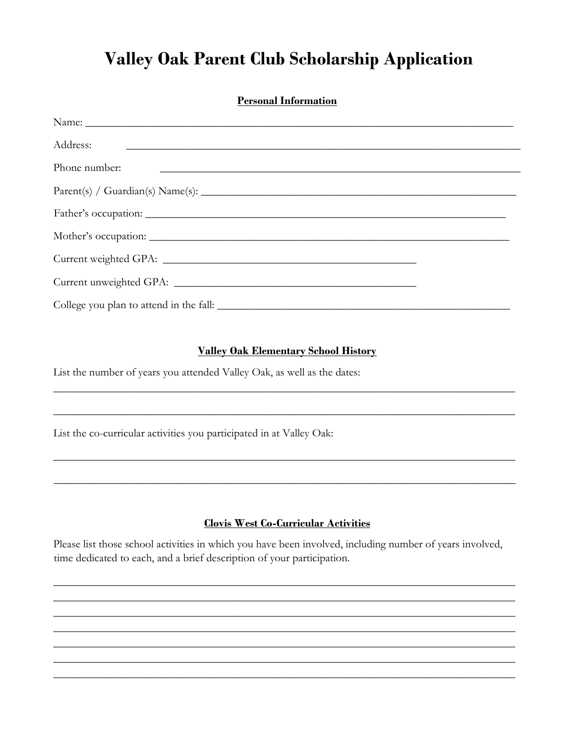# **Valley Oak Parent Club Scholarship Application**

| <b>Personal Information</b>                                                                                                            |
|----------------------------------------------------------------------------------------------------------------------------------------|
|                                                                                                                                        |
|                                                                                                                                        |
| Phone number:<br><u> 1989 - Johann Harry Harry Harry Harry Harry Harry Harry Harry Harry Harry Harry Harry Harry Harry Harry Harry</u> |
|                                                                                                                                        |
|                                                                                                                                        |
|                                                                                                                                        |
|                                                                                                                                        |
|                                                                                                                                        |
|                                                                                                                                        |

#### **Valley Oak Elementary School History**

List the number of years you attended Valley Oak, as well as the dates:

List the co-curricular activities you participated in at Valley Oak:

#### **Clovis West Co-Curricular Activities**

Please list those school activities in which you have been involved, including number of years involved, time dedicated to each, and a brief description of your participation.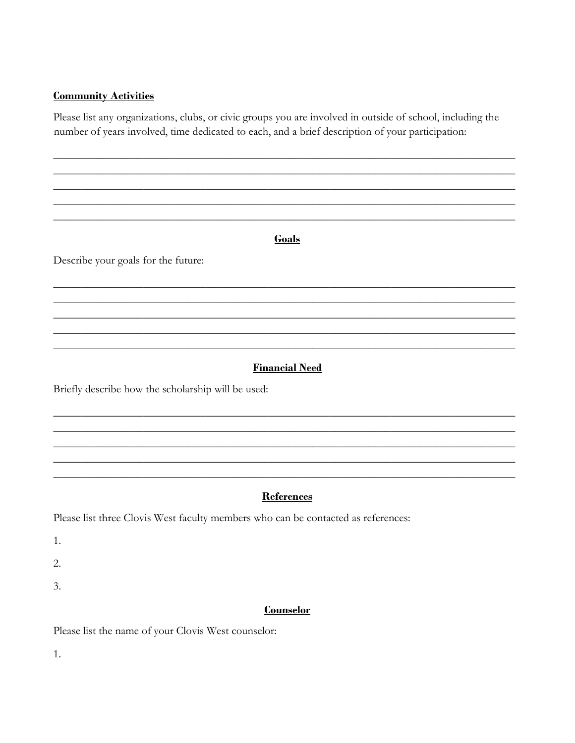#### **Community Activities**

Please list any organizations, clubs, or civic groups you are involved in outside of school, including the number of years involved, time dedicated to each, and a brief description of your participation:

Describe your goals for the future:

#### **Financial Need**

Goals

Briefly describe how the scholarship will be used:

#### **References**

Please list three Clovis West faculty members who can be contacted as references:

 $1.$ 

 $\overline{2}$ .

3.

#### **Counselor**

Please list the name of your Clovis West counselor:

 $1.$